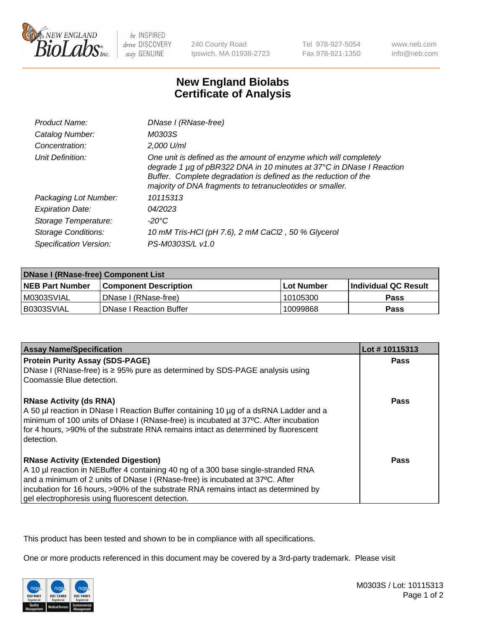

be INSPIRED drive DISCOVERY stay GENUINE

240 County Road Ipswich, MA 01938-2723 Tel 978-927-5054 Fax 978-921-1350

www.neb.com info@neb.com

## **New England Biolabs Certificate of Analysis**

| <b>Product Name:</b>       | DNase I (RNase-free)                                                                                                                                                                                                                                                      |
|----------------------------|---------------------------------------------------------------------------------------------------------------------------------------------------------------------------------------------------------------------------------------------------------------------------|
| Catalog Number:            | M0303S                                                                                                                                                                                                                                                                    |
| Concentration:             | 2,000 U/ml                                                                                                                                                                                                                                                                |
| Unit Definition:           | One unit is defined as the amount of enzyme which will completely<br>degrade 1 µg of pBR322 DNA in 10 minutes at 37°C in DNase I Reaction<br>Buffer. Complete degradation is defined as the reduction of the<br>majority of DNA fragments to tetranucleotides or smaller. |
| Packaging Lot Number:      | 10115313                                                                                                                                                                                                                                                                  |
| <b>Expiration Date:</b>    | 04/2023                                                                                                                                                                                                                                                                   |
| Storage Temperature:       | -20°C                                                                                                                                                                                                                                                                     |
| <b>Storage Conditions:</b> | 10 mM Tris-HCl (pH 7.6), 2 mM CaCl2, 50 % Glycerol                                                                                                                                                                                                                        |
| Specification Version:     | PS-M0303S/L v1.0                                                                                                                                                                                                                                                          |

| <b>DNase I (RNase-free) Component List</b> |                                |            |                             |  |
|--------------------------------------------|--------------------------------|------------|-----------------------------|--|
| <b>NEB Part Number</b>                     | <b>Component Description</b>   | Lot Number | <b>Individual QC Result</b> |  |
| M0303SVIAL                                 | DNase I (RNase-free)           | 10105300   | <b>Pass</b>                 |  |
| I B0303SVIAL                               | <b>DNase I Reaction Buffer</b> | 10099868   | <b>Pass</b>                 |  |

| <b>Assay Name/Specification</b>                                                                                                                                                                                                                                                                     | Lot #10115313 |
|-----------------------------------------------------------------------------------------------------------------------------------------------------------------------------------------------------------------------------------------------------------------------------------------------------|---------------|
| <b>Protein Purity Assay (SDS-PAGE)</b>                                                                                                                                                                                                                                                              | <b>Pass</b>   |
| DNase I (RNase-free) is ≥ 95% pure as determined by SDS-PAGE analysis using<br>Coomassie Blue detection.                                                                                                                                                                                            |               |
| <b>RNase Activity (ds RNA)</b><br>A 50 µl reaction in DNase I Reaction Buffer containing 10 µg of a dsRNA Ladder and a<br>minimum of 100 units of DNase I (RNase-free) is incubated at 37°C. After incubation<br>for 4 hours, >90% of the substrate RNA remains intact as determined by fluorescent | <b>Pass</b>   |
| detection.                                                                                                                                                                                                                                                                                          |               |
| <b>RNase Activity (Extended Digestion)</b>                                                                                                                                                                                                                                                          | Pass          |
| A 10 µl reaction in NEBuffer 4 containing 40 ng of a 300 base single-stranded RNA                                                                                                                                                                                                                   |               |
| and a minimum of 2 units of DNase I (RNase-free) is incubated at 37°C. After                                                                                                                                                                                                                        |               |
| incubation for 16 hours, >90% of the substrate RNA remains intact as determined by                                                                                                                                                                                                                  |               |
| gel electrophoresis using fluorescent detection.                                                                                                                                                                                                                                                    |               |

This product has been tested and shown to be in compliance with all specifications.

One or more products referenced in this document may be covered by a 3rd-party trademark. Please visit